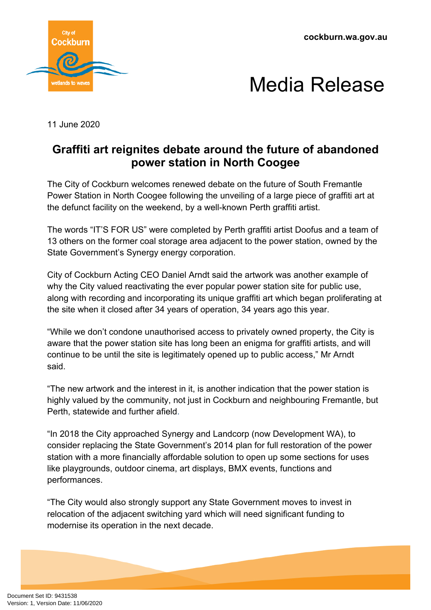**cockburn.wa.gov.au**





11 June 2020

## **Graffiti art reignites debate around the future of abandoned power station in North Coogee**

The City of Cockburn welcomes renewed debate on the future of South Fremantle Power Station in North Coogee following the unveiling of a large piece of graffiti art at the defunct facility on the weekend, by a well-known Perth graffiti artist.

The words "IT'S FOR US" were completed by Perth graffiti artist Doofus and a team of 13 others on the former coal storage area adjacent to the power station, owned by the State Government's Synergy energy corporation.

City of Cockburn Acting CEO Daniel Arndt said the artwork was another example of why the City valued reactivating the ever popular power station site for public use, along with recording and incorporating its unique graffiti art which began proliferating at the site when it closed after 34 years of operation, 34 years ago this year.

"While we don't condone unauthorised access to privately owned property, the City is aware that the power station site has long been an enigma for graffiti artists, and will continue to be until the site is legitimately opened up to public access," Mr Arndt said.

"The new artwork and the interest in it, is another indication that the power station is highly valued by the community, not just in Cockburn and neighbouring Fremantle, but Perth, statewide and further afield.

"In 2018 the City approached Synergy and Landcorp (now Development WA), to consider replacing the State Government's 2014 plan for full restoration of the power station with a more financially affordable solution to open up some sections for uses like playgrounds, outdoor cinema, art displays, BMX events, functions and performances.

"The City would also strongly support any State Government moves to invest in relocation of the adjacent switching yard which will need significant funding to modernise its operation in the next decade.

Document Set ID: 9431538<br>Version: 1, Version Date: 11/06/2020